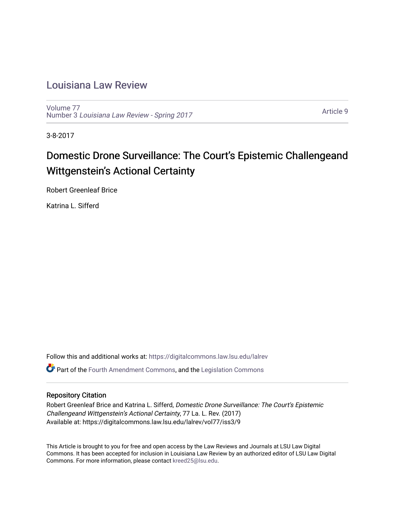## [Louisiana Law Review](https://digitalcommons.law.lsu.edu/lalrev)

[Volume 77](https://digitalcommons.law.lsu.edu/lalrev/vol77) Number 3 [Louisiana Law Review - Spring 2017](https://digitalcommons.law.lsu.edu/lalrev/vol77/iss3) 

[Article 9](https://digitalcommons.law.lsu.edu/lalrev/vol77/iss3/9) 

3-8-2017

# Domestic Drone Surveillance: The Court's Epistemic Challengeand Wittgenstein's Actional Certainty

Robert Greenleaf Brice

Katrina L. Sifferd

Follow this and additional works at: [https://digitalcommons.law.lsu.edu/lalrev](https://digitalcommons.law.lsu.edu/lalrev?utm_source=digitalcommons.law.lsu.edu%2Flalrev%2Fvol77%2Fiss3%2F9&utm_medium=PDF&utm_campaign=PDFCoverPages)

Part of the [Fourth Amendment Commons,](http://network.bepress.com/hgg/discipline/1180?utm_source=digitalcommons.law.lsu.edu%2Flalrev%2Fvol77%2Fiss3%2F9&utm_medium=PDF&utm_campaign=PDFCoverPages) and the [Legislation Commons](http://network.bepress.com/hgg/discipline/859?utm_source=digitalcommons.law.lsu.edu%2Flalrev%2Fvol77%2Fiss3%2F9&utm_medium=PDF&utm_campaign=PDFCoverPages)

#### Repository Citation

Robert Greenleaf Brice and Katrina L. Sifferd, Domestic Drone Surveillance: The Court's Epistemic Challengeand Wittgenstein's Actional Certainty, 77 La. L. Rev. (2017) Available at: https://digitalcommons.law.lsu.edu/lalrev/vol77/iss3/9

This Article is brought to you for free and open access by the Law Reviews and Journals at LSU Law Digital Commons. It has been accepted for inclusion in Louisiana Law Review by an authorized editor of LSU Law Digital Commons. For more information, please contact [kreed25@lsu.edu](mailto:kreed25@lsu.edu).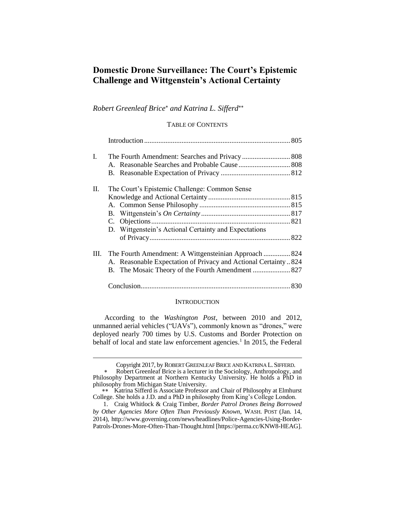### **Domestic Drone Surveillance: The Court's Epistemic Challenge and Wittgenstein's Actional Certainty**

#### *Robert Greenleaf Brice and Katrina L. Sifferd*

#### TABLE OF CONTENTS

| I.      |                                                                |  |
|---------|----------------------------------------------------------------|--|
|         |                                                                |  |
|         |                                                                |  |
| $\Pi$ . | The Court's Epistemic Challenge: Common Sense                  |  |
|         |                                                                |  |
|         |                                                                |  |
|         |                                                                |  |
|         |                                                                |  |
|         | D. Wittgenstein's Actional Certainty and Expectations          |  |
|         |                                                                |  |
| Ш.      | The Fourth Amendment: A Wittgensteinian Approach  824          |  |
|         | A. Reasonable Expectation of Privacy and Actional Certainty824 |  |
|         | B. The Mosaic Theory of the Fourth Amendment  827              |  |
|         |                                                                |  |

#### **INTRODUCTION**

According to the *Washington Post*, between 2010 and 2012, unmanned aerial vehicles ("UAVs"), commonly known as "drones," were deployed nearly 700 times by U.S. Customs and Border Protection on behalf of local and state law enforcement agencies.<sup>1</sup> In 2015, the Federal

Copyright 2017, by ROBERT GREENLEAF BRICE AND KATRINA L.SIFFERD.

Robert Greenleaf Brice is a lecturer in the Sociology, Anthropology, and Philosophy Department at Northern Kentucky University. He holds a PhD in philosophy from Michigan State University.

<sup>\*\*</sup> Katrina Sifferd is Associate Professor and Chair of Philosophy at Elmhurst College. She holds a J.D. and a PhD in philosophy from King's College London.

<sup>1.</sup> Craig Whitlock & Craig Timber, *Border Patrol Drones Being Borrowed by Other Agencies More Often Than Previously Known*, WASH. POST (Jan. 14, 2014), http://www.governing.com/news/headlines/Police-Agencies-Using-Border-Patrols-Drones-More-Often-Than-Thought.html [https://perma.cc/KNW8-HEAG].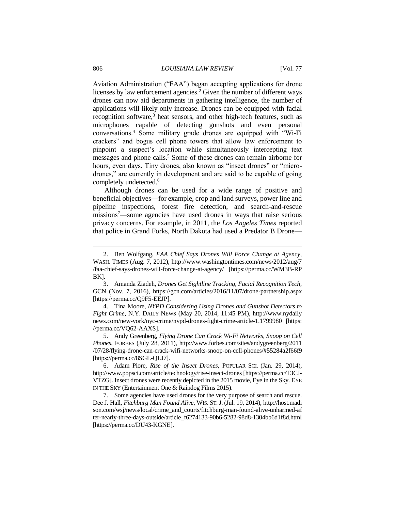Aviation Administration ("FAA") began accepting applications for drone licenses by law enforcement agencies.<sup>2</sup> Given the number of different ways drones can now aid departments in gathering intelligence, the number of applications will likely only increase. Drones can be equipped with facial recognition software,<sup>3</sup> heat sensors, and other high-tech features, such as microphones capable of detecting gunshots and even personal conversations.<sup>4</sup> Some military grade drones are equipped with "Wi-Fi crackers" and bogus cell phone towers that allow law enforcement to pinpoint a suspect's location while simultaneously intercepting text messages and phone calls.<sup>5</sup> Some of these drones can remain airborne for hours, even days. Tiny drones, also known as "insect drones" or "microdrones," are currently in development and are said to be capable of going completely undetected.<sup>6</sup>

Although drones can be used for a wide range of positive and beneficial objectives—for example, crop and land surveys, power line and pipeline inspections, forest fire detection, and search-and-rescue missions<sup>7</sup>—some agencies have used drones in ways that raise serious privacy concerns. For example, in 2011, the *Los Angeles Times* reported that police in Grand Forks, North Dakota had used a Predator B Drone—

<sup>2.</sup> Ben Wolfgang, *FAA Chief Says Drones Will Force Change at Agency*, WASH. TIMES (Aug. 7, 2012), http://www.washingtontimes.com/news/2012/aug/7 /faa-chief-says-drones-will-force-change-at-agency/ [https://perma.cc/WM3B-RP BK].

<sup>3.</sup> Amanda Ziadeh, *Drones Get Sightline Tracking, Facial Recognition Tech*, GCN (Nov. 7, 2016), https://gcn.com/articles/2016/11/07/drone-partnership.aspx [https://perma.cc/Q9F5-EEJP].

<sup>4.</sup> Tina Moore, *NYPD Considering Using Drones and Gunshot Detectors to Fight Crime*, N.Y. DAILY NEWS (May 20, 2014, 11:45 PM), http://www.nydaily news.com/new-york/nyc-crime/nypd-drones-fight-crime-article-1.1799980 [https: //perma.cc/VQ62-AAXS].

<sup>5.</sup> Andy Greenberg, *Flying Drone Can Crack Wi-Fi Networks, Snoop on Cell Phones*, FORBES (July 28, 2011), http://www.forbes.com/sites/andygreenberg/2011 /07/28/flying-drone-can-crack-wifi-networks-snoop-on-cell-phones/#55284a2f66f9 [https://perma.cc/8SGL-QLJ7].

<sup>6.</sup> Adam Piore, *Rise of the Insect Drones*, POPULAR SCI. (Jan. 29, 2014), http://www.popsci.com/article/technology/rise-insect-drones [https://perma.cc/T3CJ-VTZG]. Insect drones were recently depicted in the 2015 movie, Eye in the Sky. EYE IN THE SKY (Entertainment One & Raindog Films 2015).

<sup>7.</sup> Some agencies have used drones for the very purpose of search and rescue. Dee J. Hall, *Fitchburg Man Found Alive*, WIS. ST.J. (Jul. 19, 2014), http://host.madi son.com/wsj/news/local/crime\_and\_courts/fitchburg-man-found-alive-unharmed-af ter-nearly-three-days-outside/article\_f6274133-90b6-5282-98d8-1304bb6d1f8d.html [https://perma.cc/DU43-KGNE].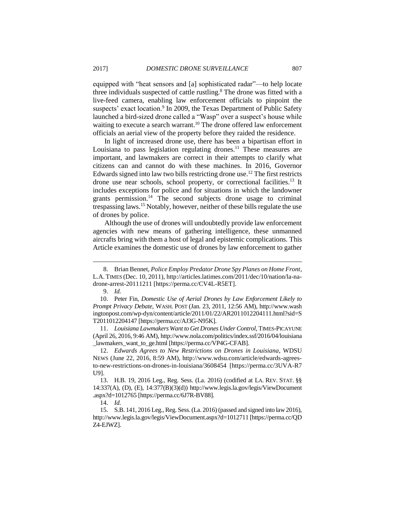equipped with "heat sensors and [a] sophisticated radar"—to help locate three individuals suspected of cattle rustling.<sup>8</sup> The drone was fitted with a live-feed camera, enabling law enforcement officials to pinpoint the suspects' exact location.<sup>9</sup> In 2009, the Texas Department of Public Safety launched a bird-sized drone called a "Wasp" over a suspect's house while waiting to execute a search warrant.<sup>10</sup> The drone offered law enforcement officials an aerial view of the property before they raided the residence.

In light of increased drone use, there has been a bipartisan effort in Louisiana to pass legislation regulating drones.<sup>11</sup> These measures are important, and lawmakers are correct in their attempts to clarify what citizens can and cannot do with these machines. In 2016, Governor Edwards signed into law two bills restricting drone use.<sup>12</sup> The first restricts drone use near schools, school property, or correctional facilities.<sup>13</sup> It includes exceptions for police and for situations in which the landowner grants permission.<sup>14</sup> The second subjects drone usage to criminal trespassing laws.<sup>15</sup> Notably, however, neither of these bills regulate the use of drones by police.

Although the use of drones will undoubtedly provide law enforcement agencies with new means of gathering intelligence, these unmanned aircrafts bring with them a host of legal and epistemic complications. This Article examines the domestic use of drones by law enforcement to gather

 $\overline{a}$ 

11. *Louisiana Lawmakers Want to Get Drones Under Control*, TIMES-PICAYUNE (April 26, 2016, 9:46 AM), http://www.nola.com/politics/index.ssf/2016/04/louisiana \_lawmakers\_want\_to\_ge.html [https://perma.cc/VP4G-CFAB].

12. *Edwards Agrees to New Restrictions on Drones in Louisiana*, WDSU NEWS (June 22, 2016, 8:59 AM), http://www.wdsu.com/article/edwards-agreesto-new-restrictions-on-drones-in-louisiana/3608454 [https://perma.cc/3UVA-R7 U9].

13. H.B. 19, 2016 Leg., Reg. Sess. (La. 2016) (codified at LA. REV. STAT. §§ 14:337(A), (D), (E), 14:377(B)(3)(d)) http://www.legis.la.gov/legis/ViewDocument .aspx?d=1012765 [https://perma.cc/6J7R-BV88].

14. *Id.*

15. S.B. 141, 2016 Leg., Reg. Sess. (La. 2016) (passed and signed into law 2016), http://www.legis.la.gov/legis/ViewDocument.aspx?d=1012711 [https://perma.cc/QD Z4-EJWZ].

<sup>8.</sup> Brian Bennet, *Police Employ Predator Drone Spy Planes on Home Front*, L.A. TIMES (Dec. 10, 2011), http://articles.latimes.com/2011/dec/10/nation/la-nadrone-arrest-20111211 [https://perma.cc/CV4L-R5ET].

<sup>9.</sup> *Id.*

<sup>10.</sup> Peter Fin, *Domestic Use of Aerial Drones by Law Enforcement Likely to Prompt Privacy Debate*, WASH. POST (Jan. 23, 2011, 12:56 AM), http://www.wash ingtonpost.com/wp-dyn/content/article/2011/01/22/AR2011012204111.html?sid=S T2011012204147 [https://perma.cc/AJ3G-N95K].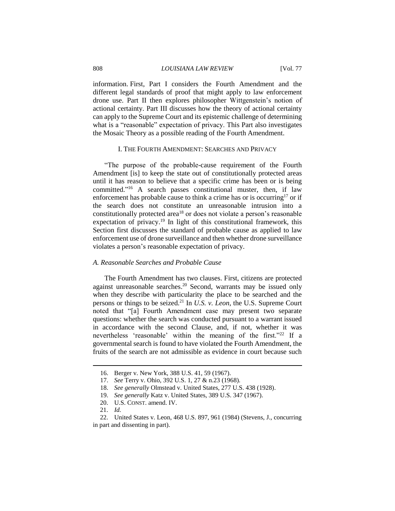#### 808 *LOUISIANA LAW REVIEW* [Vol. 77

information. First, Part I considers the Fourth Amendment and the different legal standards of proof that might apply to law enforcement drone use. Part II then explores philosopher Wittgenstein's notion of actional certainty. Part III discusses how the theory of actional certainty can apply to the Supreme Court and its epistemic challenge of determining what is a "reasonable" expectation of privacy. This Part also investigates the Mosaic Theory as a possible reading of the Fourth Amendment.

#### I. THE FOURTH AMENDMENT: SEARCHES AND PRIVACY

"The purpose of the probable-cause requirement of the Fourth Amendment [is] to keep the state out of constitutionally protected areas until it has reason to believe that a specific crime has been or is being committed." <sup>16</sup> A search passes constitutional muster, then, if law enforcement has probable cause to think a crime has or is occurring<sup>17</sup> or if the search does not constitute an unreasonable intrusion into a constitutionally protected area<sup>18</sup> or does not violate a person's reasonable expectation of privacy.<sup>19</sup> In light of this constitutional framework, this Section first discusses the standard of probable cause as applied to law enforcement use of drone surveillance and then whether drone surveillance violates a person's reasonable expectation of privacy.

#### *A. Reasonable Searches and Probable Cause*

The Fourth Amendment has two clauses. First, citizens are protected against unreasonable searches. <sup>20</sup> Second, warrants may be issued only when they describe with particularity the place to be searched and the persons or things to be seized.<sup>21</sup> In *U.S. v. Leon*, the U.S. Supreme Court noted that "[a] Fourth Amendment case may present two separate questions: whether the search was conducted pursuant to a warrant issued in accordance with the second Clause, and, if not, whether it was nevertheless 'reasonable' within the meaning of the first."<sup>22</sup> If a governmental search is found to have violated the Fourth Amendment, the fruits of the search are not admissible as evidence in court because such

21. *Id.* 

<sup>16.</sup> Berger v. New York, 388 U.S. 41, 59 (1967).

<sup>17.</sup> *See* Terry v. Ohio, 392 U.S. 1, 27 & n.23 (1968).

<sup>18.</sup> *See generally* Olmstead v. United States, 277 U.S. 438 (1928).

<sup>19.</sup> *See generally* Katz v. United States, 389 U.S. 347 (1967).

<sup>20.</sup> U.S. CONST. amend. IV.

<sup>22.</sup> United States v. Leon, 468 U.S. 897, 961 (1984) (Stevens, J., concurring in part and dissenting in part).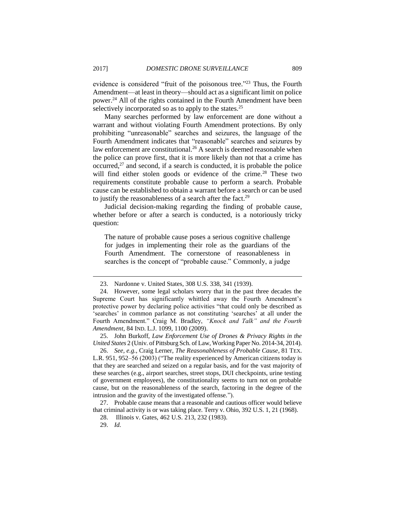evidence is considered "fruit of the poisonous tree."<sup>23</sup> Thus, the Fourth Amendment—at least in theory—should act as a significant limit on police power.<sup>24</sup> All of the rights contained in the Fourth Amendment have been selectively incorporated so as to apply to the states.<sup>25</sup>

Many searches performed by law enforcement are done without a warrant and without violating Fourth Amendment protections. By only prohibiting "unreasonable" searches and seizures, the language of the Fourth Amendment indicates that "reasonable" searches and seizures by law enforcement are constitutional.<sup>26</sup> A search is deemed reasonable when the police can prove first, that it is more likely than not that a crime has occurred, $27$  and second, if a search is conducted, it is probable the police will find either stolen goods or evidence of the crime.<sup>28</sup> These two requirements constitute probable cause to perform a search. Probable cause can be established to obtain a warrant before a search or can be used to justify the reasonableness of a search after the fact.<sup>29</sup>

Judicial decision-making regarding the finding of probable cause, whether before or after a search is conducted, is a notoriously tricky question:

The nature of probable cause poses a serious cognitive challenge for judges in implementing their role as the guardians of the Fourth Amendment. The cornerstone of reasonableness in searches is the concept of "probable cause." Commonly, a judge

25. John Burkoff, *Law Enforcement Use of Drones & Privacy Rights in the United States* 2 (Univ. of Pittsburg Sch. of Law, Working Paper No. 2014-34, 2014).

26. *See, e.g.*, Craig Lerner, *The Reasonableness of Probable Cause*, 81 TEX. L.R. 951, 952–56 (2003) ("The reality experienced by American citizens today is that they are searched and seized on a regular basis, and for the vast majority of these searches (e.g., airport searches, street stops, DUI checkpoints, urine testing of government employees), the constitutionality seems to turn not on probable cause, but on the reasonableness of the search, factoring in the degree of the intrusion and the gravity of the investigated offense.").

27. Probable cause means that a reasonable and cautious officer would believe that criminal activity is or was taking place. Terry v. Ohio, 392 U.S. 1, 21 (1968).

<sup>23.</sup> Nardonne v. United States, 308 U.S. 338, 341 (1939).

<sup>24.</sup> However, some legal scholars worry that in the past three decades the Supreme Court has significantly whittled away the Fourth Amendment's protective power by declaring police activities "that could only be described as 'searches' in common parlance as not constituting 'searches' at all under the Fourth Amendment." Craig M. Bradley, *"Knock and Talk" and the Fourth Amendment*, 84 IND. L.J. 1099, 1100 (2009).

<sup>28.</sup> Illinois v. Gates, 462 U.S. 213, 232 (1983).

<sup>29.</sup> *Id.*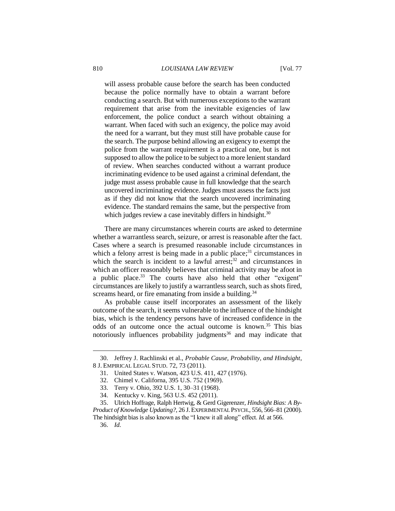will assess probable cause before the search has been conducted because the police normally have to obtain a warrant before conducting a search. But with numerous exceptions to the warrant requirement that arise from the inevitable exigencies of law enforcement, the police conduct a search without obtaining a warrant. When faced with such an exigency, the police may avoid the need for a warrant, but they must still have probable cause for the search. The purpose behind allowing an exigency to exempt the police from the warrant requirement is a practical one, but is not supposed to allow the police to be subject to a more lenient standard of review. When searches conducted without a warrant produce incriminating evidence to be used against a criminal defendant, the judge must assess probable cause in full knowledge that the search uncovered incriminating evidence. Judges must assess the facts just as if they did not know that the search uncovered incriminating evidence. The standard remains the same, but the perspective from which judges review a case inevitably differs in hindsight. $30$ 

There are many circumstances wherein courts are asked to determine whether a warrantless search, seizure, or arrest is reasonable after the fact. Cases where a search is presumed reasonable include circumstances in which a felony arrest is being made in a public place;<sup>31</sup> circumstances in which the search is incident to a lawful arrest;<sup>32</sup> and circumstances in which an officer reasonably believes that criminal activity may be afoot in a public place.<sup>33</sup> The courts have also held that other "exigent" circumstances are likely to justify a warrantless search, such as shots fired, screams heard, or fire emanating from inside a building.<sup>34</sup>

As probable cause itself incorporates an assessment of the likely outcome of the search, it seems vulnerable to the influence of the hindsight bias, which is the tendency persons have of increased confidence in the odds of an outcome once the actual outcome is known.<sup>35</sup> This bias notoriously influences probability judgments<sup>36</sup> and may indicate that

<sup>30.</sup> Jeffrey J. Rachlinski et al., *Probable Cause, Probability, and Hindsight*, 8 J. EMPIRICAL LEGAL STUD. 72, 73 (2011).

<sup>31.</sup> United States v. Watson, 423 U.S. 411, 427 (1976).

<sup>32.</sup> Chimel v. Californa, 395 U.S. 752 (1969).

<sup>33.</sup> Terry v. Ohio, 392 U.S. 1, 30–31 (1968).

<sup>34.</sup> Kentucky v. King, 563 U.S. 452 (2011).

<sup>35.</sup> Ulrich Hoffrage, Ralph Hertwig, & Gerd Gigerenzer, *Hindsight Bias: A By-Product of Knowledge Updating?*, 26 J.EXPERIMENTAL PSYCH., 556, 566–81 (2000).

The hindsight bias is also known as the "I knew it all along" effect. *Id.* at 566.

<sup>36.</sup> *Id.*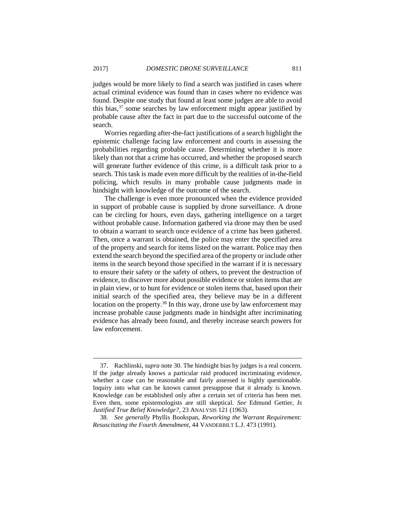judges would be more likely to find a search was justified in cases where actual criminal evidence was found than in cases where no evidence was found. Despite one study that found at least some judges are able to avoid this bias, $37$  some searches by law enforcement might appear justified by probable cause after the fact in part due to the successful outcome of the search.

Worries regarding after-the-fact justifications of a search highlight the epistemic challenge facing law enforcement and courts in assessing the probabilities regarding probable cause. Determining whether it is more likely than not that a crime has occurred, and whether the proposed search will generate further evidence of this crime, is a difficult task prior to a search. This task is made even more difficult by the realities of in-the-field policing, which results in many probable cause judgments made in hindsight with knowledge of the outcome of the search.

The challenge is even more pronounced when the evidence provided in support of probable cause is supplied by drone surveillance. A drone can be circling for hours, even days, gathering intelligence on a target without probable cause. Information gathered via drone may then be used to obtain a warrant to search once evidence of a crime has been gathered. Then, once a warrant is obtained, the police may enter the specified area of the property and search for items listed on the warrant. Police may then extend the search beyond the specified area of the property or include other items in the search beyond those specified in the warrant if it is necessary to ensure their safety or the safety of others, to prevent the destruction of evidence, to discover more about possible evidence or stolen items that are in plain view, or to hunt for evidence or stolen items that, based upon their initial search of the specified area, they believe may be in a different location on the property.<sup>38</sup> In this way, drone use by law enforcement may increase probable cause judgments made in hindsight after incriminating evidence has already been found, and thereby increase search powers for law enforcement.

<sup>37.</sup> Rachlinski, *supra* note 30. The hindsight bias by judges is a real concern. If the judge already knows a particular raid produced incriminating evidence, whether a case can be reasonable and fairly assessed is highly questionable. Inquiry into what can be known cannot presuppose that it already is known. Knowledge can be established only after a certain set of criteria has been met. Even then, some epistemologists are still skeptical. *See* Edmund Gettier, *Is Justified True Belief Knowledge?*, 23 ANALYSIS 121 (1963).

<sup>38.</sup> *See generally* Phyllis Bookspan, *Reworking the Warrant Requirement: Resuscitating the Fourth Amendment*, 44 VANDERBILT L.J. 473 (1991).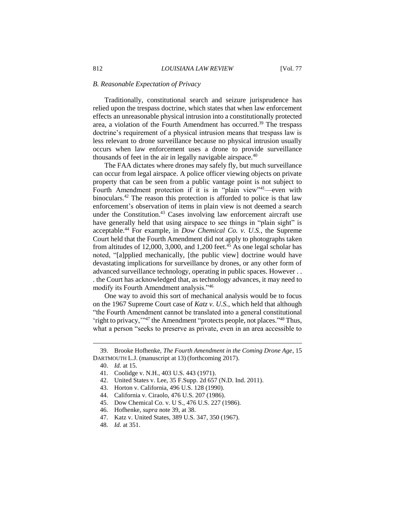#### *B. Reasonable Expectation of Privacy*

Traditionally, constitutional search and seizure jurisprudence has relied upon the trespass doctrine, which states that when law enforcement effects an unreasonable physical intrusion into a constitutionally protected area, a violation of the Fourth Amendment has occurred.<sup>39</sup> The trespass doctrine's requirement of a physical intrusion means that trespass law is less relevant to drone surveillance because no physical intrusion usually occurs when law enforcement uses a drone to provide surveillance thousands of feet in the air in legally navigable airspace.<sup>40</sup>

The FAA dictates where drones may safely fly, but much surveillance can occur from legal airspace. A police officer viewing objects on private property that can be seen from a public vantage point is not subject to Fourth Amendment protection if it is in "plain view"<sup>41</sup>—even with binoculars.<sup>42</sup> The reason this protection is afforded to police is that law enforcement's observation of items in plain view is not deemed a search under the Constitution. <sup>43</sup> Cases involving law enforcement aircraft use have generally held that using airspace to see things in "plain sight" is acceptable.<sup>44</sup> For example, in *Dow Chemical Co. v. U.S.*, the Supreme Court held that the Fourth Amendment did not apply to photographs taken from altitudes of 12,000, 3,000, and 1,200 feet.<sup>45</sup> As one legal scholar has noted, "[a]pplied mechanically, [the public view] doctrine would have devastating implications for surveillance by drones, or any other form of advanced surveillance technology, operating in public spaces. However . . . the Court has acknowledged that, as technology advances, it may need to modify its Fourth Amendment analysis."<sup>46</sup>

One way to avoid this sort of mechanical analysis would be to focus on the 1967 Supreme Court case of *Katz v. U.S.*, which held that although "the Fourth Amendment cannot be translated into a general constitutional 'right to privacy,"<sup>47</sup> the Amendment "protects people, not places."<sup>48</sup> Thus, what a person "seeks to preserve as private, even in an area accessible to

- 44. California v. Ciraolo, 476 U.S. 207 (1986).
- 45. Dow Chemical Co. v. U S., 476 U.S. 227 (1986).
- 46. Hofhenke, *supra* note 39, at 38.
- 47. Katz v. United States, 389 U.S. 347, 350 (1967).

<sup>39.</sup> Brooke Hofhenke, *The Fourth Amendment in the Coming Drone Age*, 15 DARTMOUTH L.J. (manuscript at 13) (forthcoming 2017).

<sup>40.</sup> *Id.* at 15.

<sup>41.</sup> Coolidge v. N.H., 403 U.S. 443 (1971).

<sup>42.</sup> United States v. Lee, 35 F.Supp. 2d 657 (N.D. Ind. 2011).

<sup>43.</sup> Horton v. California, 496 U.S. 128 (1990).

<sup>48.</sup> *Id.* at 351.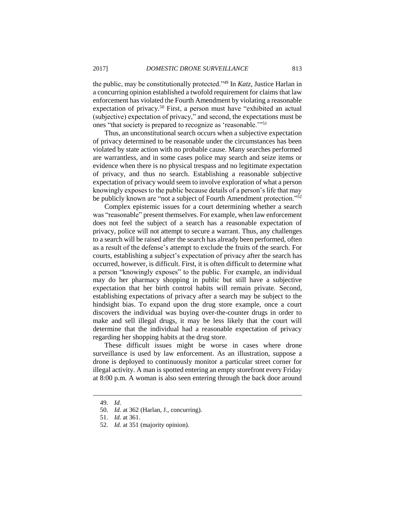the public, may be constitutionally protected."<sup>49</sup> In *Katz*, Justice Harlan in a concurring opinion established a twofold requirement for claims that law enforcement has violated the Fourth Amendment by violating a reasonable expectation of privacy.<sup>50</sup> First, a person must have "exhibited an actual (subjective) expectation of privacy," and second, the expectations must be ones "that society is prepared to recognize as 'reasonable.'"<sup>51</sup>

Thus, an unconstitutional search occurs when a subjective expectation of privacy determined to be reasonable under the circumstances has been violated by state action with no probable cause. Many searches performed are warrantless, and in some cases police may search and seize items or evidence when there is no physical trespass and no legitimate expectation of privacy, and thus no search. Establishing a reasonable subjective expectation of privacy would seem to involve exploration of what a person knowingly exposes to the public because details of a person's life that may be publicly known are "not a subject of Fourth Amendment protection."<sup>52</sup>

Complex epistemic issues for a court determining whether a search was "reasonable" present themselves. For example, when law enforcement does not feel the subject of a search has a reasonable expectation of privacy, police will not attempt to secure a warrant. Thus, any challenges to a search will be raised after the search has already been performed, often as a result of the defense's attempt to exclude the fruits of the search. For courts, establishing a subject's expectation of privacy after the search has occurred, however, is difficult. First, it is often difficult to determine what a person "knowingly exposes" to the public. For example, an individual may do her pharmacy shopping in public but still have a subjective expectation that her birth control habits will remain private. Second, establishing expectations of privacy after a search may be subject to the hindsight bias. To expand upon the drug store example, once a court discovers the individual was buying over-the-counter drugs in order to make and sell illegal drugs, it may be less likely that the court will determine that the individual had a reasonable expectation of privacy regarding her shopping habits at the drug store.

These difficult issues might be worse in cases where drone surveillance is used by law enforcement. As an illustration, suppose a drone is deployed to continuously monitor a particular street corner for illegal activity. A man is spotted entering an empty storefront every Friday at 8:00 p.m. A woman is also seen entering through the back door around

<sup>49.</sup> *Id*.

<sup>50.</sup> *Id.* at 362 (Harlan, J., concurring).

<sup>51.</sup> *Id.* at 361.

<sup>52.</sup> *Id.* at 351 (majority opinion).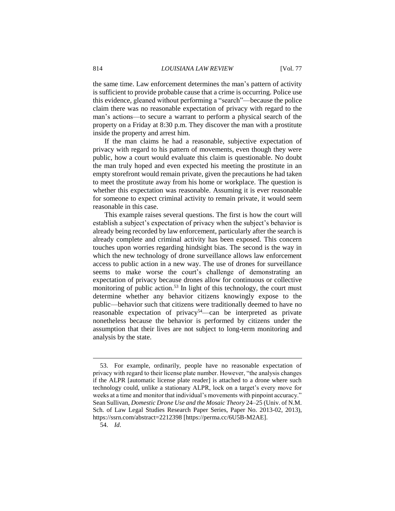the same time. Law enforcement determines the man's pattern of activity is sufficient to provide probable cause that a crime is occurring. Police use this evidence, gleaned without performing a "search"—because the police claim there was no reasonable expectation of privacy with regard to the man's actions—to secure a warrant to perform a physical search of the property on a Friday at 8:30 p.m. They discover the man with a prostitute inside the property and arrest him.

If the man claims he had a reasonable, subjective expectation of privacy with regard to his pattern of movements, even though they were public, how a court would evaluate this claim is questionable. No doubt the man truly hoped and even expected his meeting the prostitute in an empty storefront would remain private, given the precautions he had taken to meet the prostitute away from his home or workplace. The question is whether this expectation was reasonable. Assuming it is ever reasonable for someone to expect criminal activity to remain private, it would seem reasonable in this case.

This example raises several questions. The first is how the court will establish a subject's expectation of privacy when the subject's behavior is already being recorded by law enforcement, particularly after the search is already complete and criminal activity has been exposed. This concern touches upon worries regarding hindsight bias. The second is the way in which the new technology of drone surveillance allows law enforcement access to public action in a new way. The use of drones for surveillance seems to make worse the court's challenge of demonstrating an expectation of privacy because drones allow for continuous or collective monitoring of public action.<sup>53</sup> In light of this technology, the court must determine whether any behavior citizens knowingly expose to the public—behavior such that citizens were traditionally deemed to have no reasonable expectation of privacy<sup>54</sup>—can be interpreted as private nonetheless because the behavior is performed by citizens under the assumption that their lives are not subject to long-term monitoring and analysis by the state.

<sup>53.</sup> For example, ordinarily, people have no reasonable expectation of privacy with regard to their license plate number. However, "the analysis changes if the ALPR [automatic license plate reader] is attached to a drone where such technology could, unlike a stationary ALPR, lock on a target's every move for weeks at a time and monitor that individual's movements with pinpoint accuracy." Sean Sullivan, *Domestic Drone Use and the Mosaic Theory* 24–25 (Univ. of N.M. Sch. of Law Legal Studies Research Paper Series, Paper No. 2013-02, 2013), https://ssrn.com/abstract=2212398 [https://perma.cc/6U5B-M2AE].

<sup>54.</sup> *Id*.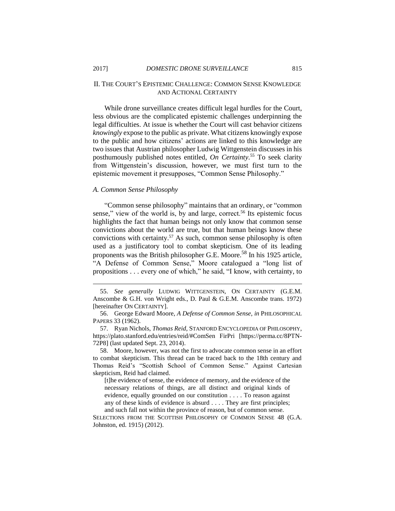#### II. THE COURT'S EPISTEMIC CHALLENGE: COMMON SENSE KNOWLEDGE AND ACTIONAL CERTAINTY

While drone surveillance creates difficult legal hurdles for the Court, less obvious are the complicated epistemic challenges underpinning the legal difficulties. At issue is whether the Court will cast behavior citizens *knowingly* expose to the public as private. What citizens knowingly expose to the public and how citizens' actions are linked to this knowledge are two issues that Austrian philosopher Ludwig Wittgenstein discusses in his posthumously published notes entitled, *On Certainty*. <sup>55</sup> To seek clarity from Wittgenstein's discussion, however, we must first turn to the epistemic movement it presupposes, "Common Sense Philosophy."

#### *A. Common Sense Philosophy*

"Common sense philosophy" maintains that an ordinary, or "common sense," view of the world is, by and large, correct.<sup>56</sup> Its epistemic focus highlights the fact that human beings not only know that common sense convictions about the world are true, but that human beings know these convictions with certainty. <sup>57</sup> As such, common sense philosophy is often used as a justificatory tool to combat skepticism. One of its leading proponents was the British philosopher G.E. Moore.<sup>58</sup> In his 1925 article, "A Defense of Common Sense," Moore catalogued a "long list of propositions . . . every one of which," he said, "I know, with certainty, to

<sup>55.</sup> *See generally* LUDWIG WITTGENSTEIN, ON CERTAINTY (G.E.M. Anscombe & G.H. von Wright eds., D. Paul & G.E.M. Anscombe trans. 1972) [hereinafter ON CERTAINTY].

<sup>56.</sup> George Edward Moore, *A Defense of Common Sense*, *in* PHILOSOPHICAL PAPERS 33 (1962).

<sup>57.</sup> Ryan Nichols, *Thomas Reid,* STANFORD ENCYCLOPEDIA OF PHILOSOPHY, https://plato.stanford.edu/entries/reid/#ComSen FirPri [https://perma.cc/8PTN-72P8] (last updated Sept. 23, 2014).

<sup>58.</sup> Moore, however, was not the first to advocate common sense in an effort to combat skepticism. This thread can be traced back to the 18th century and Thomas Reid's "Scottish School of Common Sense." Against Cartesian skepticism, Reid had claimed.

<sup>[</sup>t]he evidence of sense, the evidence of memory, and the evidence of the necessary relations of things, are all distinct and original kinds of evidence, equally grounded on our constitution . . . . To reason against any of these kinds of evidence is absurd . . . . They are first principles; and such fall not within the province of reason, but of common sense.

SELECTIONS FROM THE SCOTTISH PHILOSOPHY OF COMMON SENSE 48 (G.A. Johnston, ed. 1915) (2012).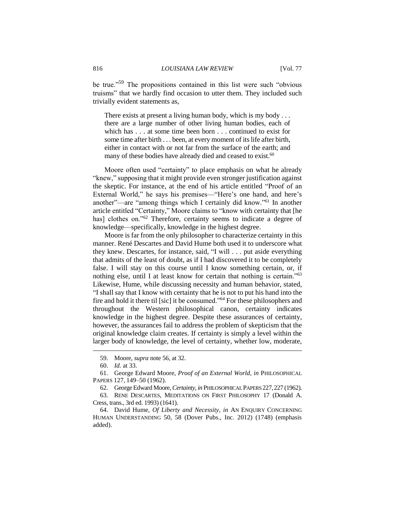be true."<sup>59</sup> The propositions contained in this list were such "obvious truisms" that we hardly find occasion to utter them. They included such trivially evident statements as,

There exists at present a living human body, which is my body ... there are a large number of other living human bodies, each of which has . . . at some time been born . . . continued to exist for some time after birth . . . been, at every moment of its life after birth, either in contact with or not far from the surface of the earth; and many of these bodies have already died and ceased to exist.<sup>60</sup>

Moore often used "certainty" to place emphasis on what he already "knew," supposing that it might provide even stronger justification against the skeptic. For instance, at the end of his article entitled "Proof of an External World," he says his premises—"Here's one hand, and here's another"—are "among things which I certainly did know."<sup>61</sup> In another article entitled "Certainty," Moore claims to "know with certainty that [he has] clothes on."<sup>62</sup> Therefore, certainty seems to indicate a degree of knowledge—specifically, knowledge in the highest degree.

Moore is far from the only philosopher to characterize certainty in this manner. René Descartes and David Hume both used it to underscore what they knew. Descartes, for instance, said, "I will . . . put aside everything that admits of the least of doubt, as if I had discovered it to be completely false. I will stay on this course until I know something certain, or, if nothing else, until I at least know for certain that nothing is certain."<sup>63</sup> Likewise, Hume, while discussing necessity and human behavior, stated, "I shall say that I know with certainty that he is not to put his hand into the fire and hold it there til [sic] it be consumed."<sup>64</sup> For these philosophers and throughout the Western philosophical canon, certainty indicates knowledge in the highest degree. Despite these assurances of certainty, however, the assurances fail to address the problem of skepticism that the original knowledge claim creates. If certainty is simply a level within the larger body of knowledge, the level of certainty, whether low, moderate,

<sup>59.</sup> Moore, *supra* note 56, at 32.

<sup>60.</sup> *Id.* at 33.

<sup>61.</sup> George Edward Moore, *Proof of an External World*, *in* PHILOSOPHICAL PAPERS 127, 149–50 (1962).

<sup>62.</sup> George Edward Moore, *Certainty*, *in* PHILOSOPHICAL PAPERS 227,227 (1962).

<sup>63.</sup> RENE DESCARTES, MEDITATIONS ON FIRST PHILOSOPHY 17 (Donald A. Cress, trans., 3rd ed. 1993) (1641).

<sup>64.</sup> David Hume, *Of Liberty and Necessity*, *in* AN ENQUIRY CONCERNING HUMAN UNDERSTANDING 50, 58 (Dover Pubs., Inc. 2012) (1748) (emphasis added).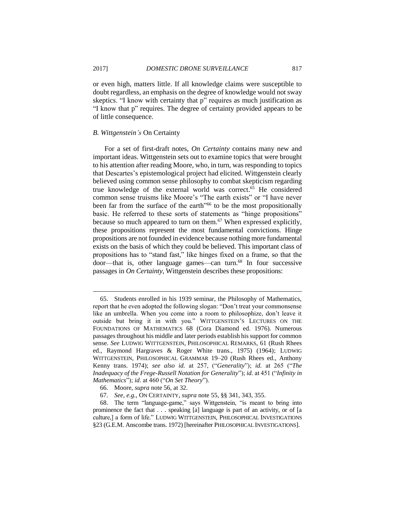or even high, matters little. If all knowledge claims were susceptible to doubt regardless, an emphasis on the degree of knowledge would not sway skeptics. "I know with certainty that p" requires as much justification as "I know that p" requires. The degree of certainty provided appears to be of little consequence.

#### *B. Wittgenstein's* On Certainty

For a set of first-draft notes, *On Certainty* contains many new and important ideas. Wittgenstein sets out to examine topics that were brought to his attention after reading Moore, who, in turn, was responding to topics that Descartes's epistemological project had elicited. Wittgenstein clearly believed using common sense philosophy to combat skepticism regarding true knowledge of the external world was correct.<sup>65</sup> He considered common sense truisms like Moore's "The earth exists" or "I have never been far from the surface of the earth"<sup>66</sup> to be the most propositionally basic. He referred to these sorts of statements as "hinge propositions" because so much appeared to turn on them.<sup>67</sup> When expressed explicitly, these propositions represent the most fundamental convictions. Hinge propositions are not founded in evidence because nothing more fundamental exists on the basis of which they could be believed. This important class of propositions has to "stand fast," like hinges fixed on a frame, so that the door—that is, other language games—can turn.<sup>68</sup> In four successive passages in *On Certainty*, Wittgenstein describes these propositions:

<sup>65.</sup> Students enrolled in his 1939 seminar, the Philosophy of Mathematics, report that he even adopted the following slogan: "Don't treat your commonsense like an umbrella. When you come into a room to philosophize, don't leave it outside but bring it in with you." WITTGENSTEIN'S LECTURES ON THE FOUNDATIONS OF MATHEMATICS 68 (Cora Diamond ed. 1976). Numerous passages throughout his middle and later periods establish his support for common sense. *See* LUDWIG WITTGENSTEIN, PHILOSOPHICAL REMARKS, 61 (Rush Rhees ed., Raymond Hargraves & Roger White trans., 1975) (1964); LUDWIG WITTGENSTEIN, PHILOSOPHICAL GRAMMAR 19–20 (Rush Rhees ed., Anthony Kenny trans. 1974); *see also id.* at 257, ("*Generality*"); *id.* at 265 ("*The Inadequacy of the Frege-Russell Notation for Generality*"); *id.* at 451 ("*Infinity in Mathematics*"); *id*. at 460 ("*On Set Theory*").

<sup>66.</sup> Moore, *supra* note 56, at 32.

<sup>67.</sup> *See, e.g.*, ON CERTAINTY, *supra* note 55, §§ 341, 343, 355.

<sup>68.</sup> The term "language-game," says Wittgenstein, "is meant to bring into prominence the fact that . . . speaking [a] language is part of an activity, or of [a culture,] a form of life." LUDWIG WITTGENSTEIN, PHILOSOPHICAL INVESTIGATIONS §23 (G.E.M. Anscombe trans. 1972) [hereinafter PHILOSOPHICAL INVESTIGATIONS].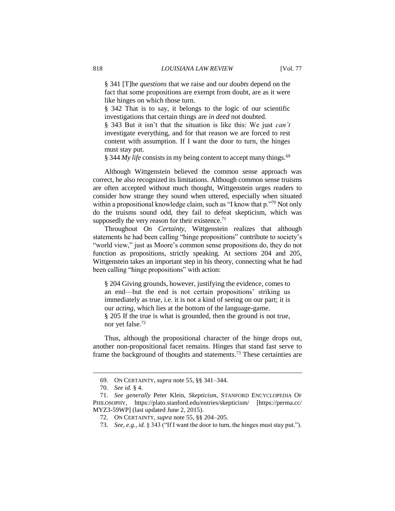§ 341 [T]he *questions* that we raise and our *doubts* depend on the fact that some propositions are exempt from doubt, are as it were like hinges on which those turn.

§ 342 That is to say, it belongs to the logic of our scientific investigations that certain things are *in deed* not doubted.

§ 343 But it isn't that the situation is like this: We just *can't*  investigate everything, and for that reason we are forced to rest content with assumption. If I want the door to turn, the hinges must stay put.

§ 344 *My life* consists in my being content to accept many things.<sup>69</sup>

Although Wittgenstein believed the common sense approach was correct, he also recognized its limitations. Although common sense truisms are often accepted without much thought, Wittgenstein urges readers to consider how strange they sound when uttered, especially when situated within a propositional knowledge claim, such as "I know that p.<sup>370</sup> Not only do the truisms sound odd, they fail to defeat skepticism, which was supposedly the very reason for their existence.<sup>71</sup>

Throughout *On Certainty*, Wittgenstein realizes that although statements he had been calling "hinge propositions" contribute to society's "world view," just as Moore's common sense propositions do, they do not function as propositions, strictly speaking. At sections 204 and 205, Wittgenstein takes an important step in his theory, connecting what he had been calling "hinge propositions" with action:

§ 204 Giving grounds, however, justifying the evidence, comes to an end—but the end is not certain propositions' striking us immediately as true, i.e. it is not a kind of seeing on our part; it is our *acting*, which lies at the bottom of the language-game. § 205 If the true is what is grounded, then the ground is not true, nor yet false.<sup>72</sup>

Thus, although the propositional character of the hinge drops out, another non-propositional facet remains. Hinges that stand fast serve to frame the background of thoughts and statements.<sup>73</sup> These certainties are

<sup>69.</sup> ON CERTAINTY, *supra* note 55, §§ 341–344.

<sup>70.</sup> *See id.* § 4.

<sup>71.</sup> *See generally* Peter Klein, *Skepticism*, STANFORD ENCYCLOPEDIA OF PHILOSOPHY, https://plato.stanford.edu/entries/skepticism/ [https://perma.cc/ MYZ3-59WP] (last updated June 2, 2015).

<sup>72.</sup> ON CERTAINTY, *supra* note 55, §§ 204–205.

<sup>73.</sup> *See, e.g.*, *id.* § 343 ("If I want the door to turn, the hinges must stay put.").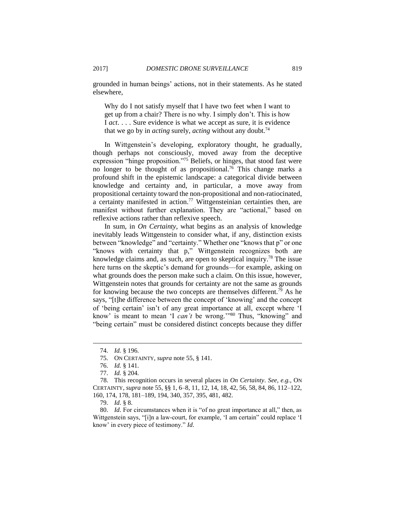grounded in human beings' actions, not in their statements. As he stated elsewhere,

Why do I not satisfy myself that I have two feet when I want to get up from a chair? There is no why. I simply don't. This is how I *act*. . . . Sure evidence is what we accept as sure, it is evidence that we go by in *acting* surely, *acting* without any doubt.<sup>74</sup>

In Wittgenstein's developing, exploratory thought, he gradually, though perhaps not consciously, moved away from the deceptive expression "hinge proposition."<sup>75</sup> Beliefs, or hinges, that stood fast were no longer to be thought of as propositional. <sup>76</sup> This change marks a profound shift in the epistemic landscape: a categorical divide between knowledge and certainty and, in particular, a move away from propositional certainty toward the non-propositional and non-ratiocinated, a certainty manifested in action.<sup>77</sup> Wittgensteinian certainties then, are manifest without further explanation. They are "actional," based on reflexive actions rather than reflexive speech.

In sum, in *On Certainty*, what begins as an analysis of knowledge inevitably leads Wittgenstein to consider what, if any, distinction exists between "knowledge" and "certainty." Whether one "knows that p" or one "knows with certainty that p," Wittgenstein recognizes both are knowledge claims and, as such, are open to skeptical inquiry.<sup>78</sup> The issue here turns on the skeptic's demand for grounds—for example, asking on what grounds does the person make such a claim. On this issue, however, Wittgenstein notes that grounds for certainty are not the same as grounds for knowing because the two concepts are themselves different.<sup>79</sup> As he says, "[t]he difference between the concept of 'knowing' and the concept of 'being certain' isn't of any great importance at all, except where 'I know' is meant to mean 'I *can't* be wrong.'"<sup>80</sup> Thus, "knowing" and "being certain" must be considered distinct concepts because they differ

<sup>74.</sup> *Id.* § 196.

<sup>75.</sup> ON CERTAINTY, *supra* note 55, § 141.

<sup>76.</sup> *Id.* § 141.

<sup>77.</sup> *Id.* § 204.

<sup>78.</sup> This recognition occurs in several places in *On Certainty*. *See, e.g.*, ON CERTAINTY, *supra* note 55, §§ 1, 6–8, 11, 12, 14, 18, 42, 56, 58, 84, 86, 112–122, 160, 174, 178, 181–189, 194, 340, 357, 395, 481, 482.

<sup>79.</sup> *Id*. § 8.

<sup>80.</sup> *Id*. For circumstances when it is "of no great importance at all," then, as Wittgenstein says, "[i]n a law-court, for example, 'I am certain" could replace 'I know' in every piece of testimony." *Id*.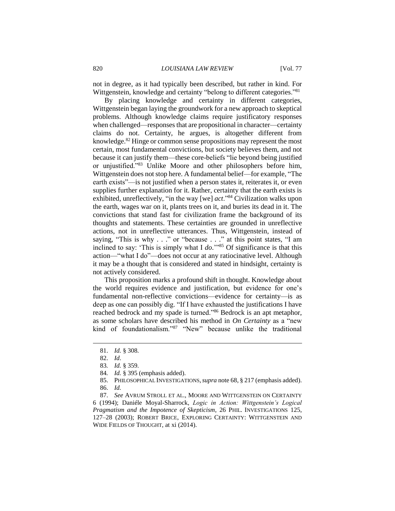not in degree, as it had typically been described, but rather in kind. For Wittgenstein, knowledge and certainty "belong to different categories."<sup>81</sup>

By placing knowledge and certainty in different categories, Wittgenstein began laying the groundwork for a new approach to skeptical problems. Although knowledge claims require justificatory responses when challenged—responses that are propositional in character—certainty claims do not. Certainty, he argues, is altogether different from knowledge.<sup>82</sup> Hinge or common sense propositions may represent the most certain, most fundamental convictions, but society believes them, and not because it can justify them—these core-beliefs "lie beyond being justified or unjustified."<sup>83</sup> Unlike Moore and other philosophers before him, Wittgenstein does not stop here. A fundamental belief—for example, "The earth exists"—is not justified when a person states it, reiterates it, or even supplies further explanation for it. Rather, certainty that the earth exists is exhibited, unreflectively, "in the way [we] *act*."<sup>84</sup> Civilization walks upon the earth, wages war on it, plants trees on it, and buries its dead in it. The convictions that stand fast for civilization frame the background of its thoughts and statements. These certainties are grounded in unreflective actions, not in unreflective utterances. Thus, Wittgenstein, instead of saying, "This is why . . ." or "because . . ." at this point states, "I am inclined to say: 'This is simply what I *do*.'" <sup>85</sup> Of significance is that this action—"what I do"—does not occur at any ratiocinative level. Although it may be a thought that is considered and stated in hindsight, certainty is not actively considered.

This proposition marks a profound shift in thought. Knowledge about the world requires evidence and justification, but evidence for one's fundamental non-reflective convictions—evidence for certainty—is as deep as one can possibly dig. "If I have exhausted the justifications I have reached bedrock and my spade is turned."<sup>86</sup> Bedrock is an apt metaphor, as some scholars have described his method in *On Certainty* as a "new kind of foundationalism."<sup>87</sup> "New" because unlike the traditional

<sup>81.</sup> *Id.* § 308.

<sup>82.</sup> *Id*.

<sup>83</sup>*. Id.* § 359.

<sup>84</sup>*. Id.* § 395 (emphasis added).

<sup>85.</sup> PHILOSOPHICAL INVESTIGATIONS,*supra* note 68, § 217 (emphasis added). 86. *Id.* 

<sup>87.</sup> *See* AVRUM STROLL ET AL., MOORE AND WITTGENSTEIN ON CERTAINTY 6 (1994); Daniéle Moyal-Sharrock, *Logic in Action: Wittgenstein's Logical Pragmatism and the Impotence of Skepticism*, 26 PHIL. INVESTIGATIONS 125, 127–28 (2003); ROBERT BRICE, EXPLORING CERTAINTY: WITTGENSTEIN AND WIDE FIELDS OF THOUGHT, at xi (2014).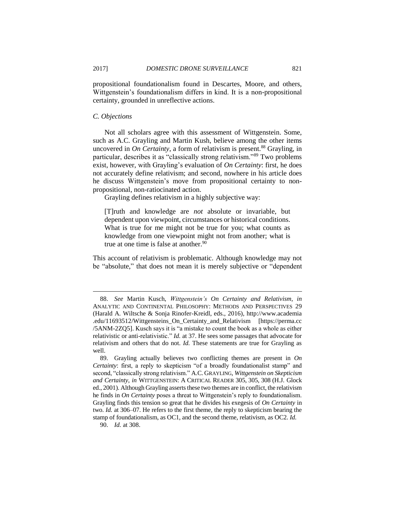propositional foundationalism found in Descartes, Moore, and others, Wittgenstein's foundationalism differs in kind. It is a non-propositional certainty, grounded in unreflective actions.

#### *C. Objections*

Not all scholars agree with this assessment of Wittgenstein. Some, such as A.C. Grayling and Martin Kush, believe among the other items uncovered in *On Certainty*, a form of relativism is present.<sup>88</sup> Grayling, in particular, describes it as "classically strong relativism."<sup>89</sup> Two problems exist, however, with Grayling's evaluation of *On Certainty*: first, he does not accurately define relativism; and second, nowhere in his article does he discuss Wittgenstein's move from propositional certainty to nonpropositional, non-ratiocinated action.

Grayling defines relativism in a highly subjective way:

[T]ruth and knowledge are *not* absolute or invariable, but dependent upon viewpoint, circumstances or historical conditions. What is true for me might not be true for you; what counts as knowledge from one viewpoint might not from another; what is true at one time is false at another.<sup>90</sup>

This account of relativism is problematic. Although knowledge may not be "absolute," that does not mean it is merely subjective or "dependent

<sup>88.</sup> *See* Martin Kusch, *Wittgenstein's On Certainty and Relativism*, *in*  ANALYTIC AND CONTINENTAL PHILOSOPHY: METHODS AND PERSPECTIVES 29 (Harald A. Wiltsche & Sonja Rinofer-Kreidl, eds., 2016), http://www.academia .edu/11693512/Wittgensteins\_On\_Certainty\_and\_Relativism [https://perma.cc /5ANM-2ZQ5]. Kusch says it is "a mistake to count the book as a whole as either relativistic or anti-relativistic." *Id.* at 37. He sees some passages that advocate for relativism and others that do not. *Id.* These statements are true for Grayling as well.

<sup>89.</sup> Grayling actually believes two conflicting themes are present in *On Certainty*: first, a reply to skepticism "of a broadly foundationalist stamp" and second, "classically strong relativism." A.C. GRAYLING, *Wittgenstein on Skepticism and Certainty*, *in* WITTGENSTEIN: A CRITICAL READER 305, 305, 308 (H.J. Glock ed., 2001). Although Grayling asserts these two themes are in conflict, the relativism he finds in *On Certainty* poses a threat to Wittgenstein's reply to foundationalism. Grayling finds this tension so great that he divides his exegesis of *On Certainty* in two. *Id.* at 306–07. He refers to the first theme, the reply to skepticism bearing the stamp of foundationalism, as OC1, and the second theme, relativism, as OC2. *Id.*

<sup>90.</sup> *Id.* at 308.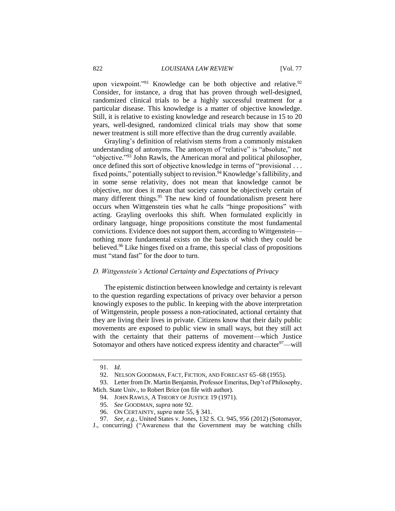upon viewpoint."<sup>91</sup> Knowledge can be both objective and relative.<sup>92</sup> Consider, for instance, a drug that has proven through well-designed, randomized clinical trials to be a highly successful treatment for a particular disease. This knowledge is a matter of objective knowledge. Still, it is relative to existing knowledge and research because in 15 to 20 years, well-designed, randomized clinical trials may show that some newer treatment is still more effective than the drug currently available.

Grayling's definition of relativism stems from a commonly mistaken understanding of antonyms. The antonym of "relative" is "absolute," not "objective."<sup>93</sup> John Rawls, the American moral and political philosopher, once defined this sort of objective knowledge in terms of "provisional . . . fixed points," potentially subject to revision.<sup>94</sup> Knowledge's fallibility, and in some sense relativity, does not mean that knowledge cannot be objective, nor does it mean that society cannot be objectively certain of many different things.<sup>95</sup> The new kind of foundationalism present here occurs when Wittgenstein ties what he calls "hinge propositions" with acting. Grayling overlooks this shift. When formulated explicitly in ordinary language, hinge propositions constitute the most fundamental convictions. Evidence does not support them, according to Wittgenstein nothing more fundamental exists on the basis of which they could be believed.<sup>96</sup> Like hinges fixed on a frame, this special class of propositions must "stand fast" for the door to turn.

#### *D. Wittgenstein's Actional Certainty and Expectations of Privacy*

The epistemic distinction between knowledge and certainty is relevant to the question regarding expectations of privacy over behavior a person knowingly exposes to the public. In keeping with the above interpretation of Wittgenstein, people possess a non-ratiocinated, actional certainty that they are living their lives in private. Citizens know that their daily public movements are exposed to public view in small ways, but they still act with the certainty that their patterns of movement—which Justice Sotomayor and others have noticed express identity and character $97$ —will

<sup>91.</sup> *Id.*

<sup>92.</sup> NELSON GOODMAN, FACT, FICTION, AND FORECAST 65–68 (1955).

<sup>93.</sup> Letter from Dr. Martin Benjamin, Professor Emeritus, Dep't of Philosophy, Mich. State Univ., to Robert Brice (on file with author).

<sup>94.</sup> JOHN RAWLS, A THEORY OF JUSTICE 19 (1971).

<sup>95.</sup> *See* GOODMAN, *supra* note 92.

<sup>96.</sup> ON CERTAINTY, *supra* note 55, § 341.

<sup>97.</sup> *See, e.g.*, United States v. Jones, 132 S. Ct. 945, 956 (2012) (Sotomayor,

J., concurring) ("Awareness that the Government may be watching chills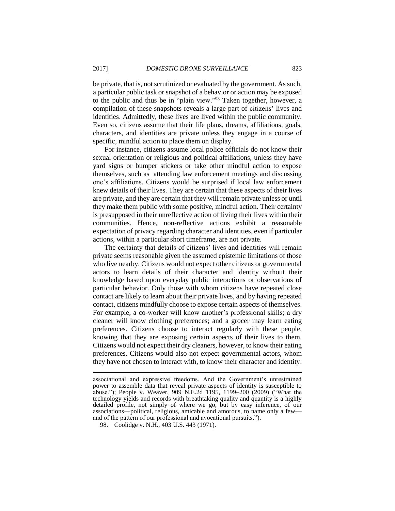be private, that is, not scrutinized or evaluated by the government. As such, a particular public task or snapshot of a behavior or action may be exposed to the public and thus be in "plain view."<sup>98</sup> Taken together, however, a compilation of these snapshots reveals a large part of citizens' lives and identities. Admittedly, these lives are lived within the public community. Even so, citizens assume that their life plans, dreams, affiliations, goals, characters, and identities are private unless they engage in a course of specific, mindful action to place them on display.

For instance, citizens assume local police officials do not know their sexual orientation or religious and political affiliations, unless they have yard signs or bumper stickers or take other mindful action to expose themselves, such as attending law enforcement meetings and discussing one's affiliations. Citizens would be surprised if local law enforcement knew details of their lives. They are certain that these aspects of their lives are private, and they are certain that they will remain private unless or until they make them public with some positive, mindful action. Their certainty is presupposed in their unreflective action of living their lives within their communities. Hence, non-reflective actions exhibit a reasonable expectation of privacy regarding character and identities, even if particular actions, within a particular short timeframe, are not private.

The certainty that details of citizens' lives and identities will remain private seems reasonable given the assumed epistemic limitations of those who live nearby. Citizens would not expect other citizens or governmental actors to learn details of their character and identity without their knowledge based upon everyday public interactions or observations of particular behavior. Only those with whom citizens have repeated close contact are likely to learn about their private lives, and by having repeated contact, citizens mindfully choose to expose certain aspects of themselves. For example, a co-worker will know another's professional skills; a dry cleaner will know clothing preferences; and a grocer may learn eating preferences. Citizens choose to interact regularly with these people, knowing that they are exposing certain aspects of their lives to them. Citizens would not expect their dry cleaners, however, to know their eating preferences. Citizens would also not expect governmental actors, whom they have not chosen to interact with, to know their character and identity.

associational and expressive freedoms. And the Government's unrestrained power to assemble data that reveal private aspects of identity is susceptible to abuse."); People v. Weaver, 909 N.E.2d 1195, 1199–200 (2009) ("What the technology yields and records with breathtaking quality and quantity is a highly detailed profile, not simply of where we go, but by easy inference, of our associations—political, religious, amicable and amorous, to name only a few and of the pattern of our professional and avocational pursuits.").

<sup>98.</sup> Coolidge v. N.H., 403 U.S. 443 (1971).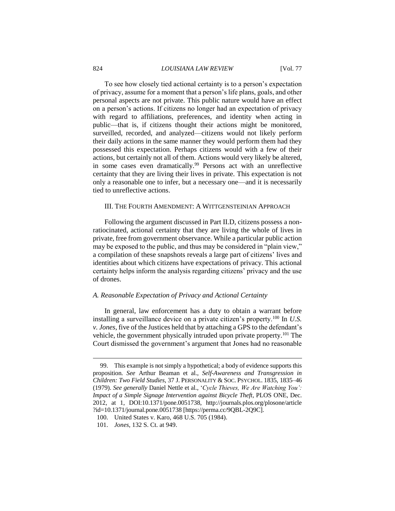#### 824 *LOUISIANA LAW REVIEW* [Vol. 77

To see how closely tied actional certainty is to a person's expectation of privacy, assume for a moment that a person's life plans, goals, and other personal aspects are not private. This public nature would have an effect on a person's actions. If citizens no longer had an expectation of privacy with regard to affiliations, preferences, and identity when acting in public—that is, if citizens thought their actions might be monitored, surveilled, recorded, and analyzed—citizens would not likely perform their daily actions in the same manner they would perform them had they possessed this expectation. Perhaps citizens would with a few of their actions, but certainly not all of them. Actions would very likely be altered, in some cases even dramatically.<sup>99</sup> Persons act with an unreflective certainty that they are living their lives in private. This expectation is not only a reasonable one to infer, but a necessary one—and it is necessarily tied to unreflective actions.

#### III. THE FOURTH AMENDMENT: A WITTGENSTEINIAN APPROACH

Following the argument discussed in Part II.D, citizens possess a nonratiocinated, actional certainty that they are living the whole of lives in private, free from government observance. While a particular public action may be exposed to the public, and thus may be considered in "plain view," a compilation of these snapshots reveals a large part of citizens' lives and identities about which citizens have expectations of privacy. This actional certainty helps inform the analysis regarding citizens' privacy and the use of drones.

#### *A. Reasonable Expectation of Privacy and Actional Certainty*

In general, law enforcement has a duty to obtain a warrant before installing a surveillance device on a private citizen's property.<sup>100</sup> In *U.S. v. Jones*, five of the Justices held that by attaching a GPS to the defendant's vehicle, the government physically intruded upon private property.<sup>101</sup> The Court dismissed the government's argument that Jones had no reasonable

<sup>99.</sup> This example is not simply a hypothetical; a body of evidence supports this proposition. *See* Arthur Beaman et al., *Self-Awareness and Transgression in Children: Two Field Studies*, 37 J. PERSONALITY & SOC. PSYCHOL. 1835, 1835–46 (1979). *See generally* Daniel Nettle et al., '*Cycle Thieves, We Are Watching You': Impact of a Simple Signage Intervention against Bicycle Theft*, PLOS ONE, Dec. 2012, at 1, DOI:10.1371/pone.0051738, http://journals.plos.org/plosone/article ?id=10.1371/journal.pone.0051738 [https://perma.cc/9QBL-2Q9C].

<sup>100.</sup> United States v. Karo, 468 U.S. 705 (1984).

<sup>101.</sup> *Jones*, 132 S. Ct. at 949.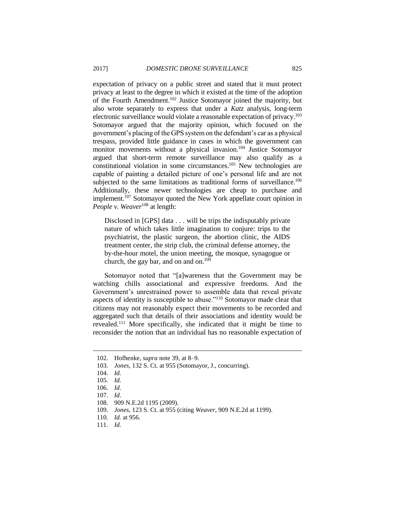expectation of privacy on a public street and stated that it must protect privacy at least to the degree in which it existed at the time of the adoption of the Fourth Amendment.<sup>102</sup> Justice Sotomayor joined the majority, but also wrote separately to express that under a *Katz* analysis, long-term electronic surveillance would violate a reasonable expectation of privacy.<sup>103</sup> Sotomayor argued that the majority opinion, which focused on the government's placing of the GPS system on the defendant's car as a physical trespass, provided little guidance in cases in which the government can monitor movements without a physical invasion.<sup>104</sup> Justice Sotomayor argued that short-term remote surveillance may also qualify as a constitutional violation in some circumstances.<sup>105</sup> New technologies are capable of painting a detailed picture of one's personal life and are not subjected to the same limitations as traditional forms of surveillance.<sup>106</sup> Additionally, these newer technologies are cheap to purchase and implement.<sup>107</sup> Sotomayor quoted the New York appellate court opinion in *People v. Weaver*<sup>108</sup> at length:

Disclosed in [GPS] data . . . will be trips the indisputably private nature of which takes little imagination to conjure: trips to the psychiatrist, the plastic surgeon, the abortion clinic, the AIDS treatment center, the strip club, the criminal defense attorney, the by-the-hour motel, the union meeting, the mosque, synagogue or church, the gay bar, and on and on.<sup>109</sup>

Sotomayor noted that "[a]wareness that the Government may be watching chills associational and expressive freedoms. And the Government's unrestrained power to assemble data that reveal private aspects of identity is susceptible to abuse."<sup>110</sup> Sotomayor made clear that citizens may not reasonably expect their movements to be recorded and aggregated such that details of their associations and identity would be revealed.<sup>111</sup> More specifically, she indicated that it might be time to reconsider the notion that an individual has no reasonable expectation of

<sup>102.</sup> Hofhenke, *supra* note 39, at 8–9.

<sup>103.</sup> *Jones*, 132 S. Ct. at 955 (Sotomayor, J., concurring).

<sup>104.</sup> *Id.* 

<sup>105.</sup> *Id.* 

<sup>106.</sup> *Id*.

<sup>107.</sup> *Id*.

<sup>108.</sup> 909 N.E.2d 1195 (2009).

<sup>109.</sup> *Jones*, 123 S. Ct. at 955 (citing *Weaver*, 909 N.E.2d at 1199).

<sup>110.</sup> *Id.* at 956.

<sup>111.</sup> *Id.*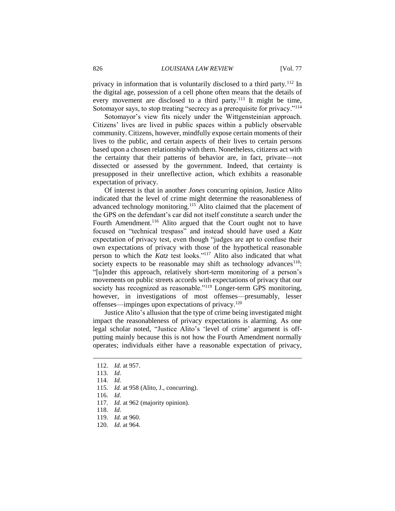privacy in information that is voluntarily disclosed to a third party.<sup>112</sup> In the digital age, possession of a cell phone often means that the details of every movement are disclosed to a third party.<sup>113</sup> It might be time, Sotomayor says, to stop treating "secrecy as a prerequisite for privacy."<sup>114</sup>

Sotomayor's view fits nicely under the Wittgensteinian approach. Citizens' lives are lived in public spaces within a publicly observable community. Citizens, however, mindfully expose certain moments of their lives to the public, and certain aspects of their lives to certain persons based upon a chosen relationship with them. Nonetheless, citizens act with the certainty that their patterns of behavior are, in fact, private—not dissected or assessed by the government. Indeed, that certainty is presupposed in their unreflective action, which exhibits a reasonable expectation of privacy.

Of interest is that in another *Jones* concurring opinion, Justice Alito indicated that the level of crime might determine the reasonableness of advanced technology monitoring.<sup>115</sup> Alito claimed that the placement of the GPS on the defendant's car did not itself constitute a search under the Fourth Amendment.<sup>116</sup> Alito argued that the Court ought not to have focused on "technical trespass" and instead should have used a *Katz* expectation of privacy test, even though "judges are apt to confuse their own expectations of privacy with those of the hypothetical reasonable person to which the *Katz* test looks."<sup>117</sup> Alito also indicated that what society expects to be reasonable may shift as technology advances<sup>118</sup>: "[u]nder this approach, relatively short-term monitoring of a person's movements on public streets accords with expectations of privacy that our society has recognized as reasonable."<sup>119</sup> Longer-term GPS monitoring, however, in investigations of most offenses—presumably, lesser offenses—impinges upon expectations of privacy.<sup>120</sup>

Justice Alito's allusion that the type of crime being investigated might impact the reasonableness of privacy expectations is alarming. As one legal scholar noted, "Justice Alito's 'level of crime' argument is offputting mainly because this is not how the Fourth Amendment normally operates; individuals either have a reasonable expectation of privacy,

<sup>112.</sup> *Id.* at 957.

<sup>113.</sup> *Id*.

<sup>114.</sup> *Id.*

<sup>115.</sup> *Id.* at 958 (Alito, J., concurring).

<sup>116.</sup> *Id*.

<sup>117.</sup> *Id.* at 962 (majority opinion).

<sup>118.</sup> *Id*.

<sup>119.</sup> *Id.* at 960.

<sup>120.</sup> *Id*. at 964.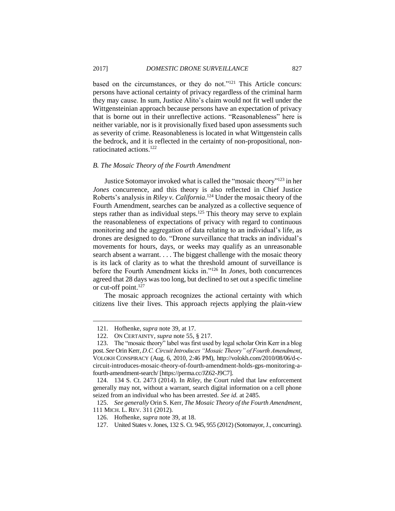based on the circumstances, or they do not."<sup>121</sup> This Article concurs: persons have actional certainty of privacy regardless of the criminal harm they may cause. In sum, Justice Alito's claim would not fit well under the Wittgensteinian approach because persons have an expectation of privacy that is borne out in their unreflective actions. "Reasonableness" here is neither variable, nor is it provisionally fixed based upon assessments such as severity of crime. Reasonableness is located in what Wittgenstein calls the bedrock, and it is reflected in the certainty of non-propositional, nonratiocinated actions.<sup>122</sup>

#### *B. The Mosaic Theory of the Fourth Amendment*

Justice Sotomayor invoked what is called the "mosaic theory"<sup>123</sup> in her *Jones* concurrence, and this theory is also reflected in Chief Justice Roberts's analysis in *Riley v. California*. <sup>124</sup> Under the mosaic theory of the Fourth Amendment, searches can be analyzed as a collective sequence of steps rather than as individual steps.<sup>125</sup> This theory may serve to explain the reasonableness of expectations of privacy with regard to continuous monitoring and the aggregation of data relating to an individual's life, as drones are designed to do. "Drone surveillance that tracks an individual's movements for hours, days, or weeks may qualify as an unreasonable search absent a warrant. . . . The biggest challenge with the mosaic theory is its lack of clarity as to what the threshold amount of surveillance is before the Fourth Amendment kicks in."<sup>126</sup> In *Jones*, both concurrences agreed that 28 days was too long, but declined to set out a specific timeline or cut-off point. $127$ 

The mosaic approach recognizes the actional certainty with which citizens live their lives. This approach rejects applying the plain-view

<sup>121.</sup> Hofhenke, *supra* note 39, at 17.

<sup>122.</sup> ON CERTAINTY, *supra* note 55, § 217.

<sup>123.</sup> The "mosaic theory" label was first used by legal scholar Orin Kerr in a blog post. *See* Orin Kerr, *D.C. Circuit Introduces "Mosaic Theory" of Fourth Amendment*, VOLOKH CONSPIRACY (Aug. 6, 2010, 2:46 PM), http://volokh.com/2010/08/06/d-ccircuit-introduces-mosaic-theory-of-fourth-amendment-holds-gps-monitoring-afourth-amendment-search/ [https://perma.cc/JZ62-J9C7].

<sup>124.</sup> 134 S. Ct. 2473 (2014). In *Riley*, the Court ruled that law enforcement generally may not, without a warrant, search digital information on a cell phone seized from an individual who has been arrested. *See id.* at 2485.

<sup>125.</sup> *See generally* Orin S. Kerr, *The Mosaic Theory of the Fourth Amendment*, 111 MICH. L. REV. 311 (2012).

<sup>126.</sup> Hofhenke, *supra* note 39, at 18.

<sup>127.</sup> United States v. Jones, 132 S. Ct. 945, 955 (2012) (Sotomayor, J., concurring).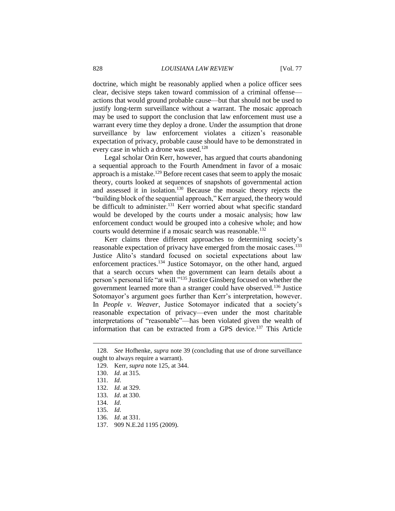doctrine, which might be reasonably applied when a police officer sees clear, decisive steps taken toward commission of a criminal offense actions that would ground probable cause—but that should not be used to justify long-term surveillance without a warrant. The mosaic approach may be used to support the conclusion that law enforcement must use a warrant every time they deploy a drone. Under the assumption that drone surveillance by law enforcement violates a citizen's reasonable expectation of privacy, probable cause should have to be demonstrated in every case in which a drone was used.<sup>128</sup>

Legal scholar Orin Kerr, however, has argued that courts abandoning a sequential approach to the Fourth Amendment in favor of a mosaic approach is a mistake.<sup>129</sup> Before recent cases that seem to apply the mosaic theory, courts looked at sequences of snapshots of governmental action and assessed it in isolation.<sup>130</sup> Because the mosaic theory rejects the "building block of the sequential approach," Kerr argued, the theory would be difficult to administer.<sup>131</sup> Kerr worried about what specific standard would be developed by the courts under a mosaic analysis; how law enforcement conduct would be grouped into a cohesive whole; and how courts would determine if a mosaic search was reasonable.<sup>132</sup>

Kerr claims three different approaches to determining society's reasonable expectation of privacy have emerged from the mosaic cases.<sup>133</sup> Justice Alito's standard focused on societal expectations about law enforcement practices.<sup>134</sup> Justice Sotomayor, on the other hand, argued that a search occurs when the government can learn details about a person's personal life "at will."<sup>135</sup> Justice Ginsberg focused on whether the government learned more than a stranger could have observed.<sup>136</sup> Justice Sotomayor's argument goes further than Kerr's interpretation, however. In *People v. Weaver*, Justice Sotomayor indicated that a society's reasonable expectation of privacy—even under the most charitable interpretations of "reasonable"—has been violated given the wealth of information that can be extracted from a GPS device.<sup>137</sup> This Article

<sup>128.</sup> *See* Hofhenke, *supra* note 39 (concluding that use of drone surveillance ought to always require a warrant).

<sup>129.</sup> Kerr, *supra* note 125, at 344.

<sup>130.</sup> *Id*. at 315.

<sup>131.</sup> *Id*.

<sup>132.</sup> *Id.* at 329.

<sup>133.</sup> *Id*. at 330.

<sup>134.</sup> *Id*.

<sup>135.</sup> *Id*.

<sup>136.</sup> *Id*. at 331.

<sup>137.</sup> 909 N.E.2d 1195 (2009).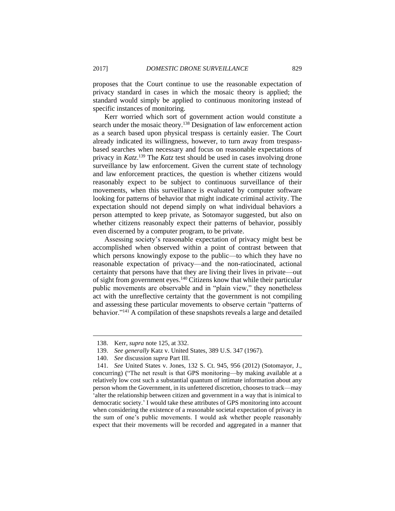proposes that the Court continue to use the reasonable expectation of privacy standard in cases in which the mosaic theory is applied; the standard would simply be applied to continuous monitoring instead of specific instances of monitoring.

Kerr worried which sort of government action would constitute a search under the mosaic theory.<sup>138</sup> Designation of law enforcement action as a search based upon physical trespass is certainly easier. The Court already indicated its willingness, however, to turn away from trespassbased searches when necessary and focus on reasonable expectations of privacy in *Katz*. <sup>139</sup> The *Katz* test should be used in cases involving drone surveillance by law enforcement. Given the current state of technology and law enforcement practices, the question is whether citizens would reasonably expect to be subject to continuous surveillance of their movements, when this surveillance is evaluated by computer software looking for patterns of behavior that might indicate criminal activity. The expectation should not depend simply on what individual behaviors a person attempted to keep private, as Sotomayor suggested, but also on whether citizens reasonably expect their patterns of behavior, possibly even discerned by a computer program, to be private.

Assessing society's reasonable expectation of privacy might best be accomplished when observed within a point of contrast between that which persons knowingly expose to the public—to which they have no reasonable expectation of privacy—and the non-ratiocinated, actional certainty that persons have that they are living their lives in private—out of sight from government eyes.<sup>140</sup> Citizens know that while their particular public movements are observable and in "plain view," they nonetheless act with the unreflective certainty that the government is not compiling and assessing these particular movements to observe certain "patterns of behavior."<sup>141</sup> A compilation of these snapshots reveals a large and detailed

<sup>138.</sup> Kerr, *supra* note 125, at 332.

<sup>139.</sup> *See generally* Katz v. United States, 389 U.S. 347 (1967).

<sup>140.</sup> *See* discussion *supra* Part III.

<sup>141.</sup> *See* United States v. Jones, 132 S. Ct. 945, 956 (2012) (Sotomayor, J., concurring) ("The net result is that GPS monitoring—by making available at a relatively low cost such a substantial quantum of intimate information about any person whom the Government, in its unfettered discretion, chooses to track—may 'alter the relationship between citizen and government in a way that is inimical to democratic society.' I would take these attributes of GPS monitoring into account when considering the existence of a reasonable societal expectation of privacy in the sum of one's public movements. I would ask whether people reasonably expect that their movements will be recorded and aggregated in a manner that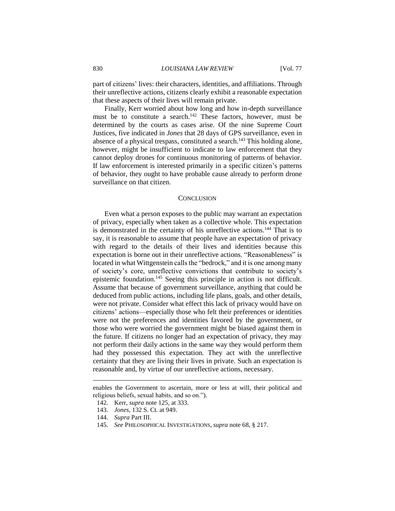part of citizens' lives: their characters, identities, and affiliations. Through their unreflective actions, citizens clearly exhibit a reasonable expectation that these aspects of their lives will remain private.

Finally, Kerr worried about how long and how in-depth surveillance must be to constitute a search.<sup>142</sup> These factors, however, must be determined by the courts as cases arise. Of the nine Supreme Court Justices, five indicated in *Jones* that 28 days of GPS surveillance, even in absence of a physical trespass, constituted a search.<sup>143</sup> This holding alone, however, might be insufficient to indicate to law enforcement that they cannot deploy drones for continuous monitoring of patterns of behavior. If law enforcement is interested primarily in a specific citizen's patterns of behavior, they ought to have probable cause already to perform drone surveillance on that citizen.

#### **CONCLUSION**

Even what a person exposes to the public may warrant an expectation of privacy, especially when taken as a collective whole. This expectation is demonstrated in the certainty of his unreflective actions.<sup>144</sup> That is to say, it is reasonable to assume that people have an expectation of privacy with regard to the details of their lives and identities because this expectation is borne out in their unreflective actions. "Reasonableness" is located in what Wittgenstein calls the "bedrock," and it is one among many of society's core, unreflective convictions that contribute to society's epistemic foundation.<sup>145</sup> Seeing this principle in action is not difficult. Assume that because of government surveillance, anything that could be deduced from public actions, including life plans, goals, and other details, were not private. Consider what effect this lack of privacy would have on citizens' actions—especially those who felt their preferences or identities were not the preferences and identities favored by the government, or those who were worried the government might be biased against them in the future. If citizens no longer had an expectation of privacy, they may not perform their daily actions in the same way they would perform them had they possessed this expectation. They act with the unreflective certainty that they are living their lives in private. Such an expectation is reasonable and, by virtue of our unreflective actions, necessary.

enables the Government to ascertain, more or less at will, their political and religious beliefs, sexual habits, and so on.").

<sup>142.</sup> Kerr, *supra* note 125, at 333.

<sup>143.</sup> *Jones*, 132 S. Ct. at 949.

<sup>144.</sup> *Supra* Part III.

<sup>145.</sup> *See* PHILOSOPHICAL INVESTIGATIONS, *supra* note 68, § 217.